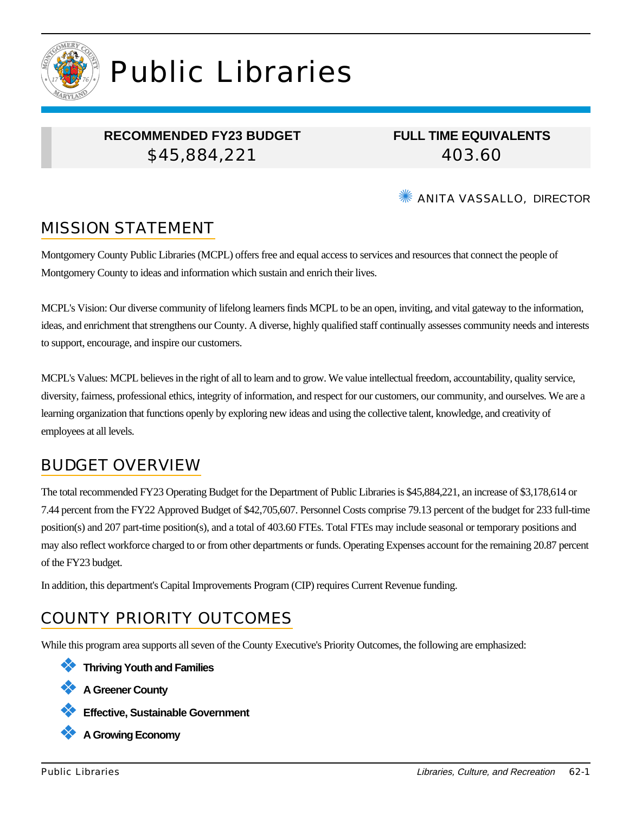

# Public Libraries

## **RECOMMENDED FY23 BUDGET** \$45,884,221

**FULL TIME EQUIVALENTS** 403.60

**WE ANITA VASSALLO, DIRECTOR** 

# MISSION STATEMENT

Montgomery County Public Libraries (MCPL) offers free and equal access to services and resources that connect the people of Montgomery County to ideas and information which sustain and enrich their lives.

MCPL's Vision: Our diverse community of lifelong learners finds MCPL to be an open, inviting, and vital gateway to the information, ideas, and enrichment that strengthens our County. A diverse, highly qualified staff continually assesses community needs and interests to support, encourage, and inspire our customers.

MCPL's Values: MCPL believes in the right of all to learn and to grow. We value intellectual freedom, accountability, quality service, diversity, fairness, professional ethics, integrity of information, and respect for our customers, our community, and ourselves. We are a learning organization that functions openly by exploring new ideas and using the collective talent, knowledge, and creativity of employees at all levels.

# BUDGET OVERVIEW

The total recommended FY23 Operating Budget for the Department of Public Libraries is \$45,884,221, an increase of \$3,178,614 or 7.44 percent from the FY22 Approved Budget of \$42,705,607. Personnel Costs comprise 79.13 percent of the budget for 233 full-time position(s) and 207 part-time position(s), and a total of 403.60 FTEs. Total FTEs may include seasonal or temporary positions and may also reflect workforce charged to or from other departments or funds. Operating Expenses account for the remaining 20.87 percent of the FY23 budget.

In addition, this department's Capital Improvements Program (CIP) requires Current Revenue funding.

# COUNTY PRIORITY OUTCOMES

While this program area supports all seven of the County Executive's Priority Outcomes, the following are emphasized:

❖ **Thriving Youth and Families**

❖ **A Greener County**

❖ **Effective, Sustainable Government**

❖ **A Growing Economy**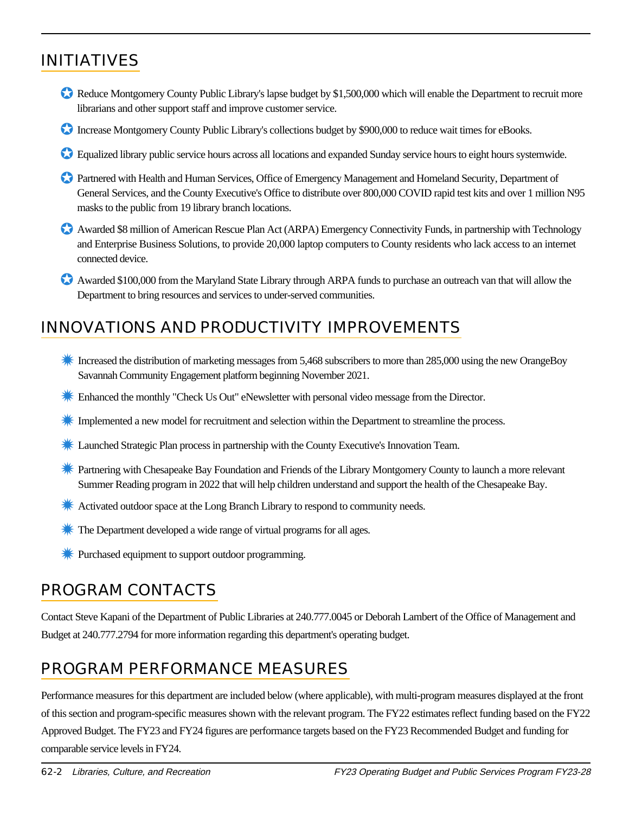# INITIATIVES

- Reduce Montgomery County Public Library's lapse budget by \$1,500,000 which will enable the Department to recruit more librarians and other support staff and improve customer service.
- Increase Montgomery County Public Library's collections budget by \$900,000 to reduce wait times for eBooks.
- ✪ Equalized library public service hours across all locations and expanded Sunday service hours to eight hours systemwide.
- ✪ Partnered with Health and Human Services, Office of Emergency Management and Homeland Security, Department of General Services, and the County Executive's Office to distribute over 800,000 COVID rapid test kits and over 1 million N95 masks to the public from 19 library branch locations.
- ✪ Awarded \$8 million of American Rescue Plan Act (ARPA) Emergency Connectivity Funds, in partnership with Technology and Enterprise Business Solutions, to provide 20,000 laptop computers to County residents who lack access to an internet connected device.
- ✪ Awarded \$100,000 from the Maryland State Library through ARPA funds to purchase an outreach van that will allow the Department to bring resources and services to under-served communities.

## INNOVATIONS AND PRODUCTIVITY IMPROVEMENTS

- **K** Increased the distribution of marketing messages from 5,468 subscribers to more than 285,000 using the new OrangeBoy Savannah Community Engagement platform beginning November 2021.
- ✹ Enhanced the monthly "Check Us Out" eNewsletter with personal video message from the Director.
- ✹ Implemented a new model for recruitment and selection within the Department to streamline the process.
- ✹ Launched Strategic Plan process in partnership with the County Executive's Innovation Team.
- ✹ Partnering with Chesapeake Bay Foundation and Friends of the Library Montgomery County to launch a more relevant Summer Reading program in 2022 that will help children understand and support the health of the Chesapeake Bay.
- **★ Activated outdoor space at the Long Branch Library to respond to community needs.**
- **<sup>\*\*</sup>** The Department developed a wide range of virtual programs for all ages.
- Purchased equipment to support outdoor programming.

## PROGRAM CONTACTS

Contact Steve Kapani of the Department of Public Libraries at 240.777.0045 or Deborah Lambert of the Office of Management and Budget at 240.777.2794 for more information regarding this department's operating budget.

# PROGRAM PERFORMANCE MEASURES

Performance measures for this department are included below (where applicable), with multi-program measures displayed at the front of this section and program-specific measures shown with the relevant program. The FY22 estimates reflect funding based on the FY22 Approved Budget. The FY23 and FY24 figures are performance targets based on the FY23 Recommended Budget and funding for comparable service levels in FY24.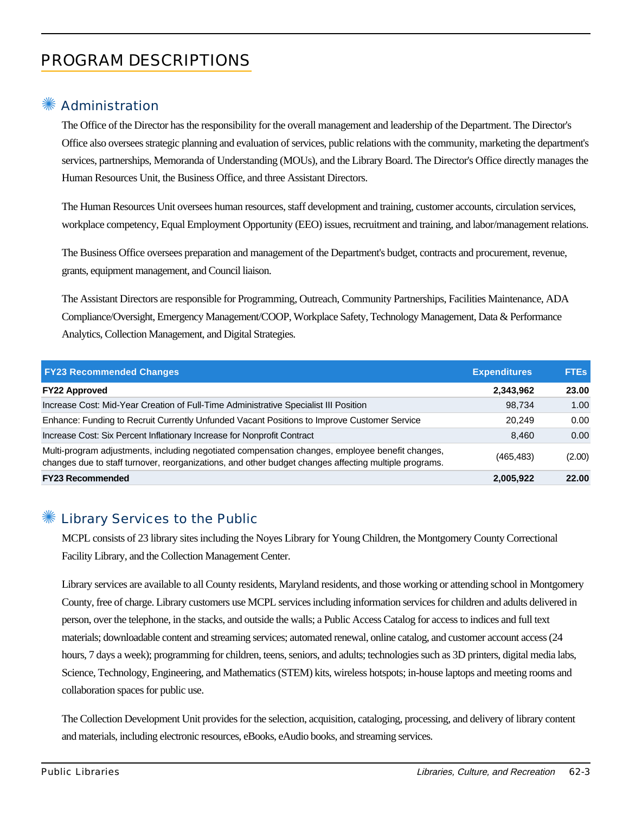# PROGRAM DESCRIPTIONS

## ✺ Administration

The Office of the Director has the responsibility for the overall management and leadership of the Department. The Director's Office also oversees strategic planning and evaluation of services, public relations with the community, marketing the department's services, partnerships, Memoranda of Understanding (MOUs), and the Library Board. The Director's Office directly manages the Human Resources Unit, the Business Office, and three Assistant Directors.

The Human Resources Unit oversees human resources, staff development and training, customer accounts, circulation services, workplace competency, Equal Employment Opportunity (EEO) issues, recruitment and training, and labor/management relations.

The Business Office oversees preparation and management of the Department's budget, contracts and procurement, revenue, grants, equipment management, and Council liaison.

The Assistant Directors are responsible for Programming, Outreach, Community Partnerships, Facilities Maintenance, ADA Compliance/Oversight, Emergency Management/COOP, Workplace Safety, Technology Management, Data & Performance Analytics, Collection Management, and Digital Strategies.

| <b>FY23 Recommended Changes</b>                                                                                                                                                                          | <b>Expenditures</b> | <b>FTEs</b> |
|----------------------------------------------------------------------------------------------------------------------------------------------------------------------------------------------------------|---------------------|-------------|
| <b>FY22 Approved</b>                                                                                                                                                                                     | 2,343,962           | 23.00       |
| Increase Cost: Mid-Year Creation of Full-Time Administrative Specialist III Position                                                                                                                     | 98.734              | 1.00        |
| Enhance: Funding to Recruit Currently Unfunded Vacant Positions to Improve Customer Service                                                                                                              | 20.249              | 0.00        |
| Increase Cost: Six Percent Inflationary Increase for Nonprofit Contract                                                                                                                                  | 8.460               | 0.00        |
| Multi-program adjustments, including negotiated compensation changes, employee benefit changes,<br>changes due to staff turnover, reorganizations, and other budget changes affecting multiple programs. | (465, 483)          | (2.00)      |
| <b>FY23 Recommended</b>                                                                                                                                                                                  | 2,005,922           | 22.00       |

#### ✺ Library Services to the Public

MCPL consists of 23 library sites including the Noyes Library for Young Children, the Montgomery County Correctional Facility Library, and the Collection Management Center.

Library services are available to all County residents, Maryland residents, and those working or attending school in Montgomery County, free of charge. Library customers use MCPL services including information services for children and adults delivered in person, over the telephone, in the stacks, and outside the walls; a Public Access Catalog for access to indices and full text materials; downloadable content and streaming services; automated renewal, online catalog, and customer account access (24 hours, 7 days a week); programming for children, teens, seniors, and adults; technologies such as 3D printers, digital media labs, Science, Technology, Engineering, and Mathematics (STEM) kits, wireless hotspots; in-house laptops and meeting rooms and collaboration spaces for public use.

The Collection Development Unit provides for the selection, acquisition, cataloging, processing, and delivery of library content and materials, including electronic resources, eBooks, eAudio books, and streaming services.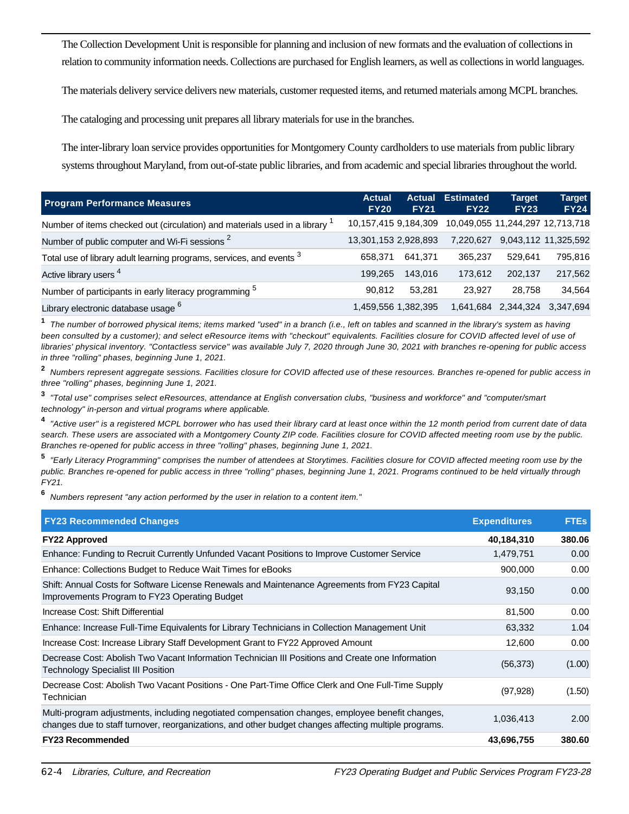The Collection Development Unit is responsible for planning and inclusion of new formats and the evaluation of collections in relation to community information needs. Collections are purchased for English learners, as well as collections in world languages.

The materials delivery service delivers new materials, customer requested items, and returned materials among MCPL branches.

The cataloging and processing unit prepares all library materials for use in the branches.

The inter-library loan service provides opportunities for Montgomery County cardholders to use materials from public library systems throughout Maryland, from out-of-state public libraries, and from academic and special libraries throughout the world.

| <b>Program Performance Measures</b>                                       | <b>Actual</b><br><b>FY20</b> | <b>Actual</b><br><b>FY21</b> | <b>Estimated</b><br><b>FY22</b>  | <b>Target</b><br><b>FY23</b> | Target<br><b>FY24</b> |
|---------------------------------------------------------------------------|------------------------------|------------------------------|----------------------------------|------------------------------|-----------------------|
| Number of items checked out (circulation) and materials used in a library | 10,157,415 9,184,309         |                              | 10,049,055 11,244,297 12,713,718 |                              |                       |
| Number of public computer and Wi-Fi sessions <sup>2</sup>                 | 13,301,153 2,928,893         |                              | 7.220.627                        |                              | 9,043,112 11,325,592  |
| Total use of library adult learning programs, services, and events 3      | 658.371                      | 641.371                      | 365.237                          | 529.641                      | 795,816               |
| Active library users <sup>4</sup>                                         | 199.265                      | 143.016                      | 173.612                          | 202.137                      | 217,562               |
| Number of participants in early literacy programming <sup>5</sup>         | 90.812                       | 53.281                       | 23.927                           | 28.758                       | 34.564                |
| Library electronic database usage <sup>6</sup>                            |                              | 1,459,556 1,382,395          | 1,641,684                        | 2,344,324                    | 3.347.694             |

**1** The number of borrowed physical items; items marked "used" in a branch (i.e., left on tables and scanned in the library's system as having been consulted by a customer); and select eResource items with "checkout" equivalents. Facilities closure for COVID affected level of use of libraries' physical inventory. "Contactless service" was available July 7, 2020 through June 30, 2021 with branches re-opening for public access in three "rolling" phases, beginning June 1, 2021.

**2** Numbers represent aggregate sessions. Facilities closure for COVID affected use of these resources. Branches re-opened for public access in three "rolling" phases, beginning June 1, 2021.

**3** "Total use" comprises select eResources, attendance at English conversation clubs, "business and workforce" and "computer/smart technology" in-person and virtual programs where applicable.

**4** "Active user" is a registered MCPL borrower who has used their library card at least once within the 12 month period from current date of data search. These users are associated with a Montgomery County ZIP code. Facilities closure for COVID affected meeting room use by the public. Branches re-opened for public access in three "rolling" phases, beginning June 1, 2021.

**5** "Early Literacy Programming" comprises the number of attendees at Storytimes. Facilities closure for COVID affected meeting room use by the public. Branches re-opened for public access in three "rolling" phases, beginning June 1, 2021. Programs continued to be held virtually through FY21.

**6** Numbers represent "any action performed by the user in relation to a content item."

| <b>FY23 Recommended Changes</b>                                                                                                                                                                          | <b>Expenditures</b> | <b>FTEs</b> |
|----------------------------------------------------------------------------------------------------------------------------------------------------------------------------------------------------------|---------------------|-------------|
| <b>FY22 Approved</b>                                                                                                                                                                                     | 40,184,310          | 380.06      |
| Enhance: Funding to Recruit Currently Unfunded Vacant Positions to Improve Customer Service                                                                                                              | 1,479,751           | 0.00        |
| Enhance: Collections Budget to Reduce Wait Times for eBooks                                                                                                                                              | 900,000             | 0.00        |
| Shift: Annual Costs for Software License Renewals and Maintenance Agreements from FY23 Capital<br>Improvements Program to FY23 Operating Budget                                                          | 93,150              | 0.00        |
| Increase Cost: Shift Differential                                                                                                                                                                        | 81,500              | 0.00        |
| Enhance: Increase Full-Time Equivalents for Library Technicians in Collection Management Unit                                                                                                            | 63,332              | 1.04        |
| Increase Cost: Increase Library Staff Development Grant to FY22 Approved Amount                                                                                                                          | 12,600              | 0.00        |
| Decrease Cost: Abolish Two Vacant Information Technician III Positions and Create one Information<br><b>Technology Specialist III Position</b>                                                           | (56, 373)           | (1.00)      |
| Decrease Cost: Abolish Two Vacant Positions - One Part-Time Office Clerk and One Full-Time Supply<br>Technician                                                                                          | (97, 928)           | (1.50)      |
| Multi-program adjustments, including negotiated compensation changes, employee benefit changes,<br>changes due to staff turnover, reorganizations, and other budget changes affecting multiple programs. | 1,036,413           | 2.00        |
| <b>FY23 Recommended</b>                                                                                                                                                                                  | 43,696,755          | 380.60      |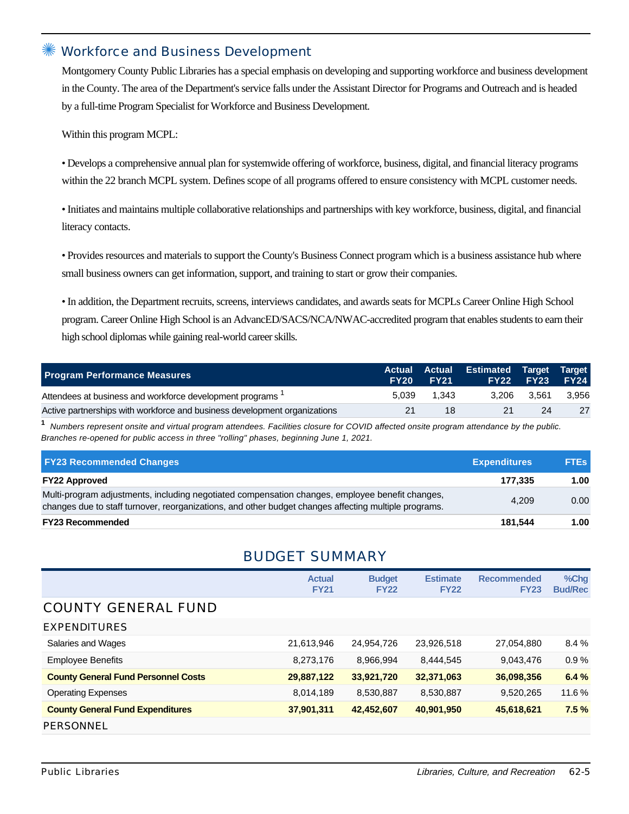#### Workforce and Business Development

Montgomery County Public Libraries has a special emphasis on developing and supporting workforce and business development in the County. The area of the Department's service falls under the Assistant Director for Programs and Outreach and is headed by a full-time Program Specialist for Workforce and Business Development.

Within this program MCPL:

• Develops a comprehensive annual plan for systemwide offering of workforce, business, digital, and financial literacy programs within the 22 branch MCPL system. Defines scope of all programs offered to ensure consistency with MCPL customer needs.

•Initiates and maintains multiple collaborative relationships and partnerships with key workforce, business, digital, and financial literacy contacts.

• Provides resources and materials to support the County's Business Connect program which is a business assistance hub where small business owners can get information, support, and training to start or grow their companies.

•In addition, the Department recruits, screens, interviews candidates, and awards seats for MCPLs Career Online High School program. Career Online High School is an AdvancED/SACS/NCA/NWAC-accredited program that enables students to earn their high school diplomas while gaining real-world career skills.

| <b>Program Performance Measures</b>                                       | <b>FY20</b> | <b>FY21</b> | Actual Actual Estimated Target Target | <b>FY22 FY23</b> | <b>FY24</b> |
|---------------------------------------------------------------------------|-------------|-------------|---------------------------------------|------------------|-------------|
| Attendees at business and workforce development programs <sup>1</sup>     | 5.039       | 1.343       | 3.206                                 | 3.561            | 3,956       |
| Active partnerships with workforce and business development organizations | 21          | 18          | 21                                    | 24               | 27          |

**1** Numbers represent onsite and virtual program attendees. Facilities closure for COVID affected onsite program attendance by the public. Branches re-opened for public access in three "rolling" phases, beginning June 1, 2021.

| <b>FY23 Recommended Changes</b>                                                                                                                                                                          | <b>Expenditures</b> | <b>FTEs</b> |
|----------------------------------------------------------------------------------------------------------------------------------------------------------------------------------------------------------|---------------------|-------------|
| <b>FY22 Approved</b>                                                                                                                                                                                     | 177.335             | 1.00        |
| Multi-program adjustments, including negotiated compensation changes, employee benefit changes,<br>changes due to staff turnover, reorganizations, and other budget changes affecting multiple programs. | 4.209               | 0.00        |
| <b>FY23 Recommended</b>                                                                                                                                                                                  | 181.544             | 1.00        |

#### BUDGET SUMMARY

|                                            | <b>Actual</b><br><b>FY21</b> | <b>Budget</b><br><b>FY22</b> | <b>Estimate</b><br><b>FY22</b> | <b>Recommended</b><br><b>FY23</b> | %Chg<br><b>Bud/Rec</b> |
|--------------------------------------------|------------------------------|------------------------------|--------------------------------|-----------------------------------|------------------------|
| <b>COUNTY GENERAL FUND</b>                 |                              |                              |                                |                                   |                        |
| <b>EXPENDITURES</b>                        |                              |                              |                                |                                   |                        |
| Salaries and Wages                         | 21,613,946                   | 24,954,726                   | 23,926,518                     | 27,054,880                        | 8.4%                   |
| <b>Employee Benefits</b>                   | 8,273,176                    | 8,966,994                    | 8,444,545                      | 9,043,476                         | 0.9%                   |
| <b>County General Fund Personnel Costs</b> | 29,887,122                   | 33,921,720                   | 32,371,063                     | 36,098,356                        | 6.4%                   |
| <b>Operating Expenses</b>                  | 8,014,189                    | 8,530,887                    | 8,530,887                      | 9,520,265                         | 11.6%                  |
| <b>County General Fund Expenditures</b>    | 37,901,311                   | 42,452,607                   | 40,901,950                     | 45,618,621                        | 7.5%                   |
| PERSONNEL                                  |                              |                              |                                |                                   |                        |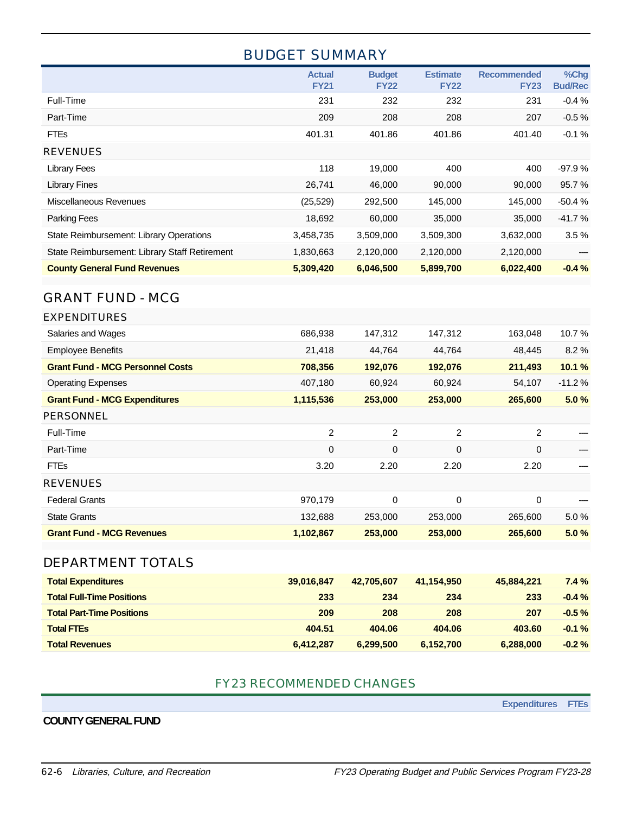## BUDGET SUMMARY

|                                               | <b>Actual</b><br><b>FY21</b> | <b>Budget</b><br><b>FY22</b> | <b>Estimate</b><br><b>FY22</b> | <b>Recommended</b><br><b>FY23</b> | %Chg<br><b>Bud/Rec</b> |
|-----------------------------------------------|------------------------------|------------------------------|--------------------------------|-----------------------------------|------------------------|
| Full-Time                                     | 231                          | 232                          | 232                            | 231                               | $-0.4%$                |
| Part-Time                                     | 209                          | 208                          | 208                            | 207                               | $-0.5%$                |
| <b>FTEs</b>                                   | 401.31                       | 401.86                       | 401.86                         | 401.40                            | $-0.1%$                |
| <b>REVENUES</b>                               |                              |                              |                                |                                   |                        |
| <b>Library Fees</b>                           | 118                          | 19,000                       | 400                            | 400                               | $-97.9%$               |
| <b>Library Fines</b>                          | 26,741                       | 46,000                       | 90,000                         | 90,000                            | 95.7%                  |
| Miscellaneous Revenues                        | (25, 529)                    | 292,500                      | 145,000                        | 145,000                           | $-50.4%$               |
| <b>Parking Fees</b>                           | 18,692                       | 60,000                       | 35,000                         | 35,000                            | $-41.7%$               |
| State Reimbursement: Library Operations       | 3,458,735                    | 3,509,000                    | 3,509,300                      | 3,632,000                         | 3.5%                   |
| State Reimbursement: Library Staff Retirement | 1,830,663                    | 2,120,000                    | 2,120,000                      | 2,120,000                         |                        |
| <b>County General Fund Revenues</b>           | 5,309,420                    | 6,046,500                    | 5,899,700                      | 6,022,400                         | $-0.4%$                |

## GRANT FUND - MCG

| <b>EXPENDITURES</b>                     |                |         |                |             |          |
|-----------------------------------------|----------------|---------|----------------|-------------|----------|
| Salaries and Wages                      | 686,938        | 147,312 | 147,312        | 163,048     | 10.7%    |
| <b>Employee Benefits</b>                | 21,418         | 44,764  | 44,764         | 48,445      | 8.2%     |
| <b>Grant Fund - MCG Personnel Costs</b> | 708,356        | 192,076 | 192,076        | 211,493     | 10.1%    |
| <b>Operating Expenses</b>               | 407,180        | 60,924  | 60,924         | 54,107      | $-11.2%$ |
| <b>Grant Fund - MCG Expenditures</b>    | 1,115,536      | 253,000 | 253,000        | 265,600     | 5.0%     |
| <b>PERSONNEL</b>                        |                |         |                |             |          |
| Full-Time                               | $\overline{2}$ | 2       | $\overline{2}$ | 2           |          |
| Part-Time                               | 0              | 0       | $\mathbf 0$    | $\Omega$    |          |
| <b>FTEs</b>                             | 3.20           | 2.20    | 2.20           | 2.20        |          |
| <b>REVENUES</b>                         |                |         |                |             |          |
| <b>Federal Grants</b>                   | 970,179        | 0       | 0              | $\mathbf 0$ |          |
| <b>State Grants</b>                     | 132,688        | 253,000 | 253,000        | 265,600     | 5.0%     |
| <b>Grant Fund - MCG Revenues</b>        | 1,102,867      | 253,000 | 253,000        | 265,600     | 5.0%     |
|                                         |                |         |                |             |          |

#### DEPARTMENT TOTALS

| <b>Total Expenditures</b>        | 39,016,847 | 42.705.607 | 41.154.950 | 45.884.221 | 7.4%      |
|----------------------------------|------------|------------|------------|------------|-----------|
| <b>Total Full-Time Positions</b> | 233        | 234        | 234        | 233        | $-0.4%$   |
| <b>Total Part-Time Positions</b> | 209        | 208        | 208        | 207        | $-0.5 \%$ |
| <b>Total FTEs</b>                | 404.51     | 404.06     | 404.06     | 403.60     | $-0.1%$   |
| <b>Total Revenues</b>            | 6,412,287  | 6.299.500  | 6,152,700  | 6,288,000  | $-0.2%$   |

#### FY23 RECOMMENDED CHANGES

**Expenditures FTEs**

#### **COUNTY GENERAL FUND**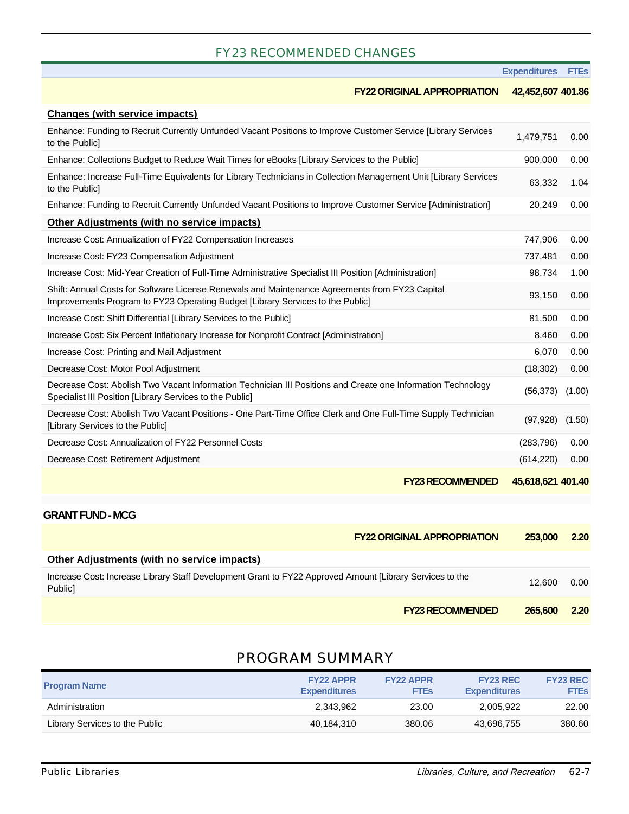#### FY23 RECOMMENDED CHANGES

|  | <b>Expenditures</b> | <b>FTEs</b> |
|--|---------------------|-------------|
|  |                     |             |

|                                                                                                                                                                                  |                                    | -Aperuniae        | ---    |
|----------------------------------------------------------------------------------------------------------------------------------------------------------------------------------|------------------------------------|-------------------|--------|
|                                                                                                                                                                                  | <b>FY22 ORIGINAL APPROPRIATION</b> | 42,452,607 401.86 |        |
| <b>Changes (with service impacts)</b>                                                                                                                                            |                                    |                   |        |
| Enhance: Funding to Recruit Currently Unfunded Vacant Positions to Improve Customer Service [Library Services<br>to the Public]                                                  |                                    | 1,479,751         | 0.00   |
| Enhance: Collections Budget to Reduce Wait Times for eBooks [Library Services to the Public]                                                                                     |                                    | 900,000           | 0.00   |
| Enhance: Increase Full-Time Equivalents for Library Technicians in Collection Management Unit [Library Services<br>to the Public]                                                |                                    | 63,332            | 1.04   |
| Enhance: Funding to Recruit Currently Unfunded Vacant Positions to Improve Customer Service [Administration]                                                                     |                                    | 20,249            | 0.00   |
| Other Adjustments (with no service impacts)                                                                                                                                      |                                    |                   |        |
| Increase Cost: Annualization of FY22 Compensation Increases                                                                                                                      |                                    | 747,906           | 0.00   |
| Increase Cost: FY23 Compensation Adjustment                                                                                                                                      |                                    | 737,481           | 0.00   |
| Increase Cost: Mid-Year Creation of Full-Time Administrative Specialist III Position [Administration]                                                                            |                                    | 98,734            | 1.00   |
| Shift: Annual Costs for Software License Renewals and Maintenance Agreements from FY23 Capital<br>Improvements Program to FY23 Operating Budget [Library Services to the Public] |                                    | 93,150            | 0.00   |
| Increase Cost: Shift Differential [Library Services to the Public]                                                                                                               |                                    | 81,500            | 0.00   |
| Increase Cost: Six Percent Inflationary Increase for Nonprofit Contract [Administration]                                                                                         |                                    | 8,460             | 0.00   |
| Increase Cost: Printing and Mail Adjustment                                                                                                                                      |                                    | 6,070             | 0.00   |
| Decrease Cost: Motor Pool Adjustment                                                                                                                                             |                                    | (18, 302)         | 0.00   |
| Decrease Cost: Abolish Two Vacant Information Technician III Positions and Create one Information Technology<br>Specialist III Position [Library Services to the Public]         |                                    | (56, 373)         | (1.00) |
| Decrease Cost: Abolish Two Vacant Positions - One Part-Time Office Clerk and One Full-Time Supply Technician<br>[Library Services to the Public]                                 |                                    | (97, 928)         | (1.50) |
| Decrease Cost: Annualization of FY22 Personnel Costs                                                                                                                             |                                    | (283, 796)        | 0.00   |
| Decrease Cost: Retirement Adjustment                                                                                                                                             |                                    | (614, 220)        | 0.00   |
|                                                                                                                                                                                  | <b>FY23 RECOMMENDED</b>            | 45,618,621 401.40 |        |

#### **GRANT FUND - MCG**

|                                                                                                                                 | <b>FY22 ORIGINAL APPROPRIATION</b> | 253,000 | <b>2.20</b> |
|---------------------------------------------------------------------------------------------------------------------------------|------------------------------------|---------|-------------|
| <b>Other Adjustments (with no service impacts)</b>                                                                              |                                    |         |             |
| Increase Cost: Increase Library Staff Development Grant to FY22 Approved Amount [Library Services to the<br>Public <sub>1</sub> |                                    | 12.600  | 0.00        |
|                                                                                                                                 | <b>FY23 RECOMMENDED</b>            | 265,600 | 2.20        |

## PROGRAM SUMMARY

| <b>Program Name</b>            | <b>FY22 APPR</b><br><b>Expenditures</b> | <b>FY22 APPR</b><br><b>FTEs</b> | <b>FY23 REC</b><br><b>Expenditures</b> | <b>FY23 REC</b><br><b>FTEs</b> |
|--------------------------------|-----------------------------------------|---------------------------------|----------------------------------------|--------------------------------|
| Administration                 | 2.343.962                               | 23.00                           | 2.005.922                              | 22.00                          |
| Library Services to the Public | 40.184.310                              | 380.06                          | 43.696.755                             | 380.60                         |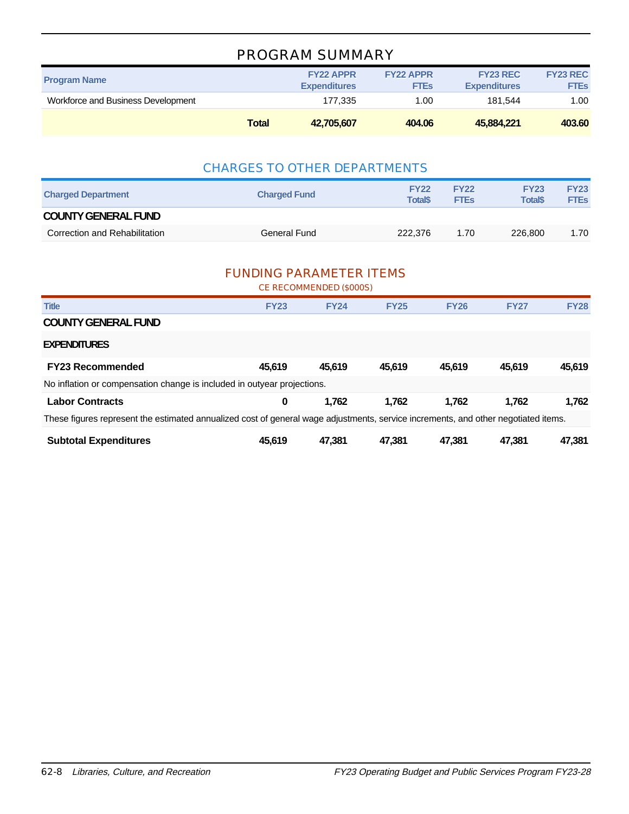## PROGRAM SUMMARY

|                                    | <b>Total</b> | 42.705.607                              | 404.06                          | 45,884,221                             | 403.60                         |
|------------------------------------|--------------|-----------------------------------------|---------------------------------|----------------------------------------|--------------------------------|
| Workforce and Business Development |              | 177.335                                 | 1.00                            | 181.544                                | 1.00                           |
| <b>Program Name</b>                |              | <b>FY22 APPR</b><br><b>Expenditures</b> | <b>FY22 APPR</b><br><b>FTEs</b> | <b>FY23 REC</b><br><b>Expenditures</b> | <b>FY23 REC</b><br><b>FTES</b> |

#### CHARGES TO OTHER DEPARTMENTS

| <b>Charged Department</b>     | <b>Charged Fund</b> | <b>FY22</b><br><b>Total</b> \$ | <b>FY22</b><br><b>FTEs</b> | <b>FY23</b><br><b>Total</b> \$ | <b>FY23</b><br><b>FTEs</b> |
|-------------------------------|---------------------|--------------------------------|----------------------------|--------------------------------|----------------------------|
| <b>COUNTY GENERAL FUND</b>    |                     |                                |                            |                                |                            |
| Correction and Rehabilitation | <b>General Fund</b> | 222,376                        | 1.70                       | 226,800                        | 1.70                       |

#### FUNDING PARAMETER ITEMS

|                                                                                                                                    |             | CE RECOMMENDED (\$000S) |             |             |             |             |  |
|------------------------------------------------------------------------------------------------------------------------------------|-------------|-------------------------|-------------|-------------|-------------|-------------|--|
| <b>Title</b>                                                                                                                       | <b>FY23</b> | <b>FY24</b>             | <b>FY25</b> | <b>FY26</b> | <b>FY27</b> | <b>FY28</b> |  |
| <b>COUNTY GENERAL FUND</b>                                                                                                         |             |                         |             |             |             |             |  |
| <b>EXPENDITURES</b>                                                                                                                |             |                         |             |             |             |             |  |
| <b>FY23 Recommended</b>                                                                                                            | 45.619      | 45.619                  | 45.619      | 45.619      | 45.619      | 45,619      |  |
| No inflation or compensation change is included in outyear projections.                                                            |             |                         |             |             |             |             |  |
| <b>Labor Contracts</b>                                                                                                             | 0           | 1.762                   | 1.762       | 1.762       | 1.762       | 1.762       |  |
| These figures represent the estimated annualized cost of general wage adjustments, service increments, and other negotiated items. |             |                         |             |             |             |             |  |
| <b>Subtotal Expenditures</b>                                                                                                       | 45.619      | 47.381                  | 47.381      | 47.381      | 47.381      | 47,381      |  |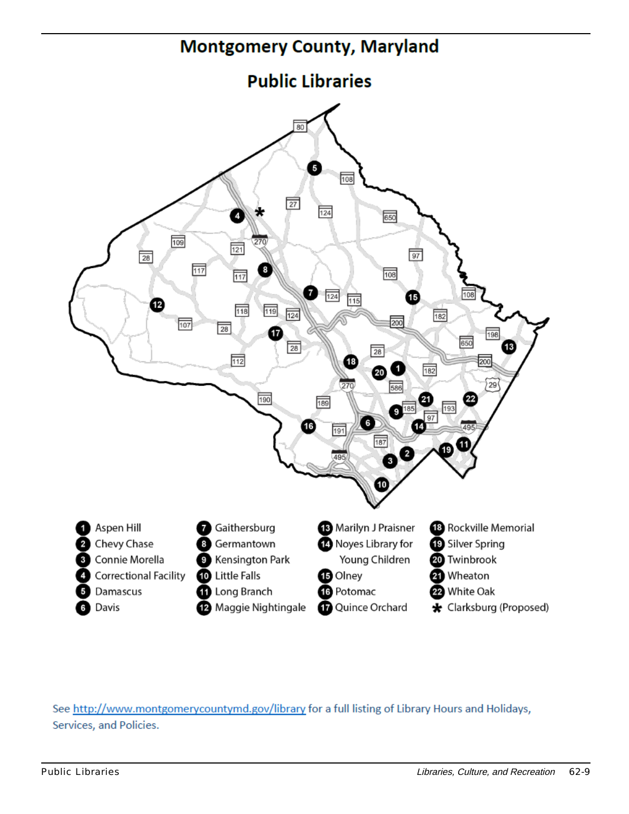

See http://www.montgomerycountymd.gov/library for a full listing of Library Hours and Holidays, Services, and Policies.